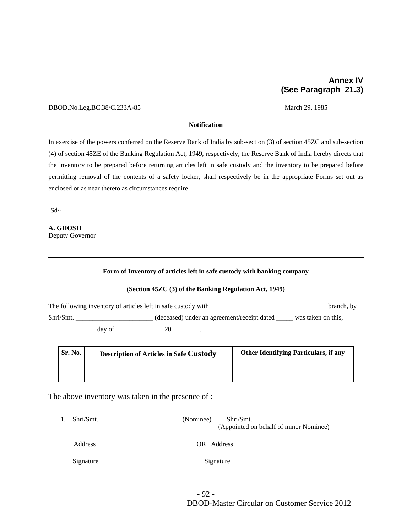## **Annex IV (See Paragraph 21.3)**

#### DBOD.No.Leg.BC.38/C.233A-85 March 29, 1985

#### **Notification**

In exercise of the powers conferred on the Reserve Bank of India by sub-section (3) of section 45ZC and sub-section (4) of section 45ZE of the Banking Regulation Act, 1949, respectively, the Reserve Bank of India hereby directs that the inventory to be prepared before returning articles left in safe custody and the inventory to be prepared before permitting removal of the contents of a safety locker, shall respectively be in the appropriate Forms set out as enclosed or as near thereto as circumstances require.

Sd/-

# **A. GHOSH**

Deputy Governor

#### **Form of Inventory of articles left in safe custody with banking company**

## **(Section 45ZC (3) of the Banking Regulation Act, 1949)**

The following inventory of articles left in safe custody with\_\_\_\_\_\_\_\_\_\_\_\_\_\_\_\_\_\_\_\_\_\_\_\_\_\_\_\_\_\_\_\_\_\_\_ branch, by Shri/Smt. \_\_\_\_\_\_\_\_\_\_\_\_\_\_\_\_\_\_\_\_\_\_\_ (deceased) under an agreement/receipt dated \_\_\_\_\_ was taken on this,  $\frac{day \text{ of }_{x \to x}}{20}$ 

| <b>Sr. No.</b> | <b>Description of Articles in Safe Custody</b> | Other Identifying Particulars, if any |
|----------------|------------------------------------------------|---------------------------------------|
|                |                                                |                                       |
|                |                                                |                                       |

The above inventory was taken in the presence of :

| $\rm Shri/Smt.$ | (Nominee)<br>$\text{Shri}/\text{Smt}.$ |
|-----------------|----------------------------------------|
|                 | (Appointed on behalf of minor Nominee) |
| Address         | OR Address                             |
| Signature       | Signature                              |

- 92 - DBOD-Master Circular on Customer Service 2012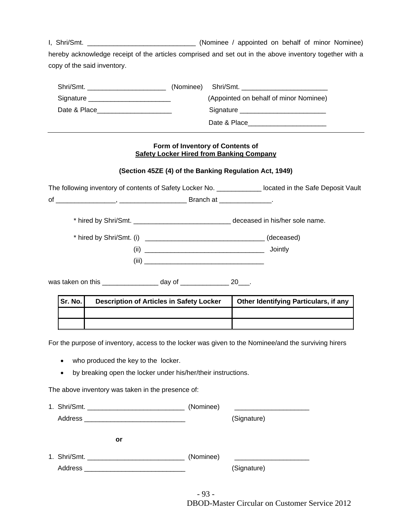I, Shri/Smt. \_\_\_\_\_\_\_\_\_\_\_\_\_\_\_\_\_\_\_\_\_\_\_\_\_\_\_\_\_ (Nominee / appointed on behalf of minor Nominee) hereby acknowledge receipt of the articles comprised and set out in the above inventory together with a copy of the said inventory.

| Shri/Smt.                               | (Nominee) Shri/Smt.                                                                                                                                                                                                            |
|-----------------------------------------|--------------------------------------------------------------------------------------------------------------------------------------------------------------------------------------------------------------------------------|
| Signature _____________________________ | (Appointed on behalf of minor Nominee)                                                                                                                                                                                         |
| Date & Place                            | Signature Signature Signature Communications and Signature Communications and Signature Communications and Signature Communications and Signature Communications and Signature Communications and Signature Communications and |
|                                         | Date & Place                                                                                                                                                                                                                   |

## **Form of Inventory of Contents of Safety Locker Hired from Banking Company**

## **(Section 45ZE (4) of the Banking Regulation Act, 1949)**

The following inventory of contents of Safety Locker No. \_\_\_\_\_\_\_\_\_\_\_\_\_\_ located in the Safe Deposit Vault of \_\_\_\_\_\_\_\_\_\_\_\_\_\_\_\_, \_\_\_\_\_\_\_\_\_\_\_\_\_\_\_\_\_\_ Branch at \_\_\_\_\_\_\_\_\_\_\_\_\_\_.

\* hired by Shri/Smt. \_\_\_\_\_\_\_\_\_\_\_\_\_\_\_\_\_\_\_\_\_\_\_\_\_\_ deceased in his/her sole name.

| * hired by Shri/Smt. (i) | (deceased) |
|--------------------------|------------|
| (ii)                     | Jointly    |
| (iii)                    |            |

was taken on this example of the day of the set of the 20  $\pm$ 

| Sr. No. | <b>Description of Articles in Safety Locker</b> | <b>Other Identifying Particulars, if any</b> |
|---------|-------------------------------------------------|----------------------------------------------|
|         |                                                 |                                              |
|         |                                                 |                                              |

For the purpose of inventory, access to the locker was given to the Nominee/and the surviving hirers

- who produced the key to the locker.
- by breaking open the locker under his/her/their instructions.

The above inventory was taken in the presence of:

|         | (Nominee) |             |
|---------|-----------|-------------|
|         |           | (Signature) |
| or      |           |             |
|         | (Nominee) |             |
| Address |           | (Signature) |

- 93 - DBOD-Master Circular on Customer Service 2012